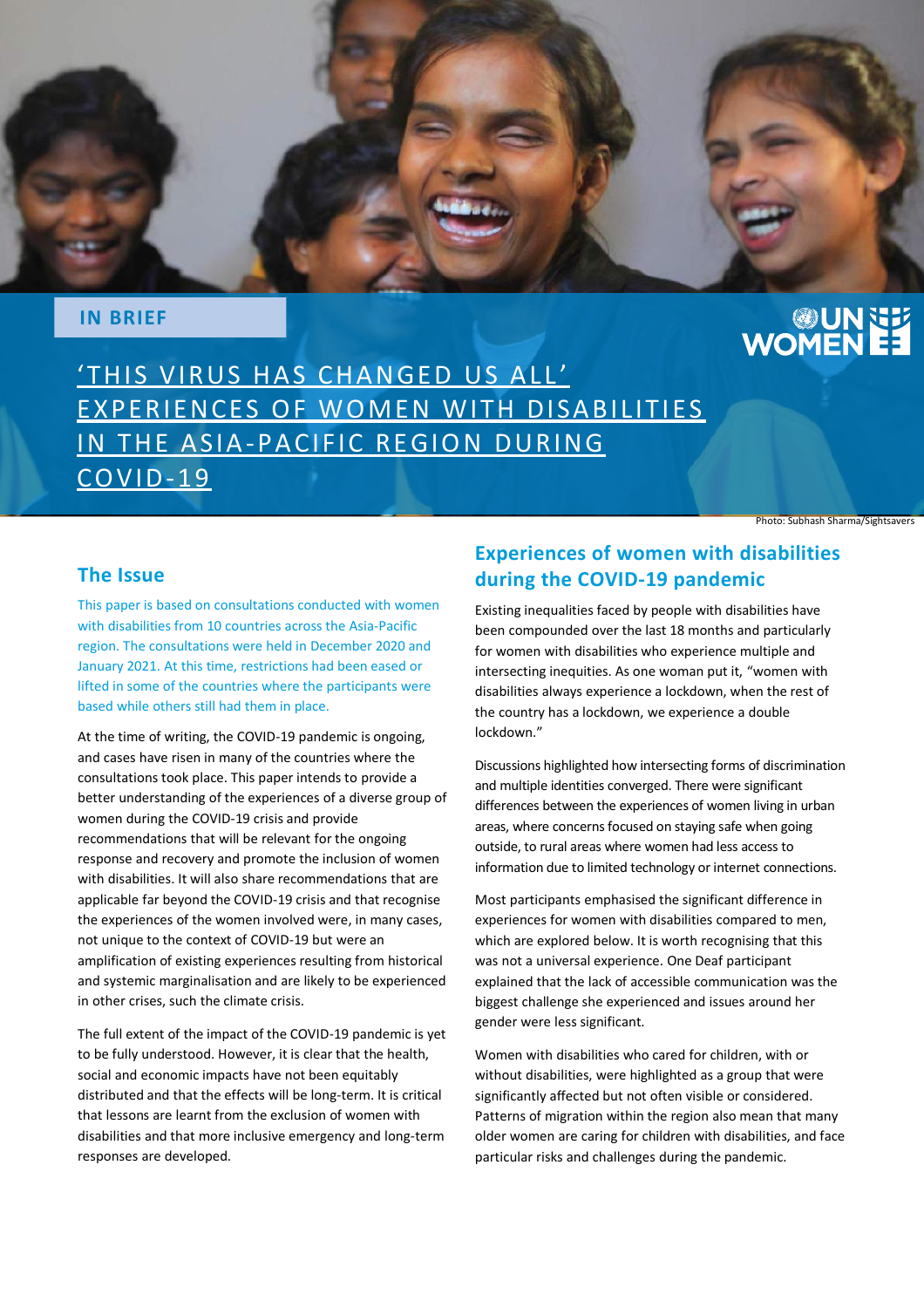

#### **IN BRIEF**

# **UNNET**

'THIS VIRUS HAS CHANGED US ALL' EXPERIENCES OF WOMEN WITH DISABILITIES IN THE ASIA-PACIFIC REGION DURING CO V ID-19

Photo: Subhash Sharma/Sightsavers

#### **The Issue**

This paper is based on consultations conducted with women with disabilities from 10 countries across the Asia-Pacific region. The consultations were held in December 2020 and January 2021. At this time, restrictions had been eased or lifted in some of the countries where the participants were based while others still had them in place.

At the time of writing, the COVID-19 pandemic is ongoing, and cases have risen in many of the countries where the consultations took place. This paper intends to provide a better understanding of the experiences of a diverse group of women during the COVID-19 crisis and provide recommendations that will be relevant for the ongoing response and recovery and promote the inclusion of women with disabilities. It will also share recommendations that are applicable far beyond the COVID-19 crisis and that recognise the experiences of the women involved were, in many cases, not unique to the context of COVID-19 but were an amplification of existing experiences resulting from historical and systemic marginalisation and are likely to be experienced in other crises, such the climate crisis.

The full extent of the impact of the COVID-19 pandemic is yet to be fully understood. However, it is clear that the health, social and economic impacts have not been equitably distributed and that the effects will be long-term. It is critical that lessons are learnt from the exclusion of women with disabilities and that more inclusive emergency and long-term responses are developed.

### **Experiences of women with disabilities during the COVID-19 pandemic**

Existing inequalities faced by people with disabilities have been compounded over the last 18 months and particularly for women with disabilities who experience multiple and intersecting inequities. As one woman put it, "women with disabilities always experience a lockdown, when the rest of the country has a lockdown, we experience a double lockdown."

Discussions highlighted how intersecting forms of discrimination and multiple identities converged. There were significant differences between the experiences of women living in urban areas, where concerns focused on staying safe when going outside, to rural areas where women had less access to information due to limited technology or internet connections.

Most participants emphasised the significant difference in experiences for women with disabilities compared to men, which are explored below. It is worth recognising that this was not a universal experience. One Deaf participant explained that the lack of accessible communication was the biggest challenge she experienced and issues around her gender were less significant.

Women with disabilities who cared for children, with or without disabilities, were highlighted as a group that were significantly affected but not often visible or considered. Patterns of migration within the region also mean that many older women are caring for children with disabilities, and face particular risks and challenges during the pandemic.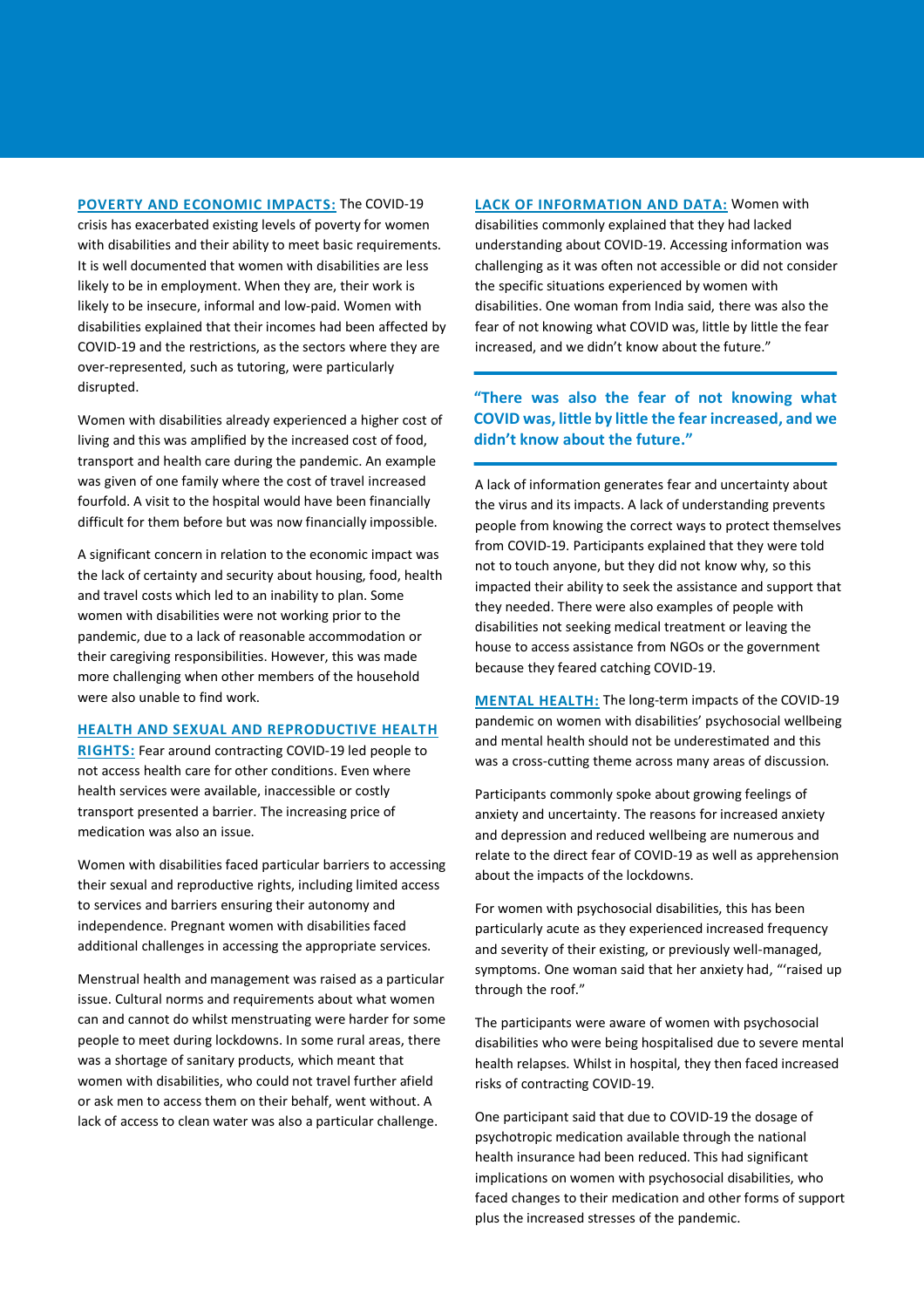**POVERTY AND ECONOMIC IMPACTS:** The COVID-19 crisis has exacerbated existing levels of poverty for women with disabilities and their ability to meet basic requirements. It is well documented that women with disabilities are less likely to be in employment. When they are, their work is likely to be insecure, informal and low-paid. Women with disabilities explained that their incomes had been affected by COVID-19 and the restrictions, as the sectors where they are over-represented, such as tutoring, were particularly disrupted.

Women with disabilities already experienced a higher cost of living and this was amplified by the increased cost of food, transport and health care during the pandemic. An example was given of one family where the cost of travel increased fourfold. A visit to the hospital would have been financially difficult for them before but was now financially impossible.

A significant concern in relation to the economic impact was the lack of certainty and security about housing, food, health and travel costs which led to an inability to plan. Some women with disabilities were not working prior to the pandemic, due to a lack of reasonable accommodation or their caregiving responsibilities. However, this was made more challenging when other members of the household were also unable to find work.

#### **HEALTH AND SEXUAL AND REPRODUCTIVE HEALTH**

**RIGHTS:** Fear around contracting COVID-19 led people to not access health care for other conditions. Even where health services were available, inaccessible or costly transport presented a barrier. The increasing price of medication was also an issue.

Women with disabilities faced particular barriers to accessing their sexual and reproductive rights, including limited access to services and barriers ensuring their autonomy and independence. Pregnant women with disabilities faced additional challenges in accessing the appropriate services.

Menstrual health and management was raised as a particular issue. Cultural norms and requirements about what women can and cannot do whilst menstruating were harder for some people to meet during lockdowns. In some rural areas, there was a shortage of sanitary products, which meant that women with disabilities, who could not travel further afield or ask men to access them on their behalf, went without. A lack of access to clean water was also a particular challenge.

**LACK OF INFORMATION AND DATA:** Women with disabilities commonly explained that they had lacked understanding about COVID-19. Accessing information was challenging as it was often not accessible or did not consider the specific situations experienced by women with disabilities. One woman from India said, there was also the fear of not knowing what COVID was, little by little the fear increased, and we didn't know about the future."

#### **"There was also the fear of not knowing what COVID was, little by little the fear increased, and we didn't know about the future."**

A lack of information generates fear and uncertainty about the virus and its impacts. A lack of understanding prevents people from knowing the correct ways to protect themselves from COVID-19. Participants explained that they were told not to touch anyone, but they did not know why, so this impacted their ability to seek the assistance and support that they needed. There were also examples of people with disabilities not seeking medical treatment or leaving the house to access assistance from NGOs or the government because they feared catching COVID-19.

**MENTAL HEALTH:** The long-term impacts of the COVID-19 pandemic on women with disabilities' psychosocial wellbeing and mental health should not be underestimated and this was a cross-cutting theme across many areas of discussion.

Participants commonly spoke about growing feelings of anxiety and uncertainty. The reasons for increased anxiety and depression and reduced wellbeing are numerous and relate to the direct fear of COVID-19 as well as apprehension about the impacts of the lockdowns.

For women with psychosocial disabilities, this has been particularly acute as they experienced increased frequency and severity of their existing, or previously well-managed, symptoms. One woman said that her anxiety had, "'raised up through the roof."

The participants were aware of women with psychosocial disabilities who were being hospitalised due to severe mental health relapses. Whilst in hospital, they then faced increased risks of contracting COVID-19.

One participant said that due to COVID-19 the dosage of psychotropic medication available through the national health insurance had been reduced. This had significant implications on women with psychosocial disabilities, who faced changes to their medication and other forms of support plus the increased stresses of the pandemic.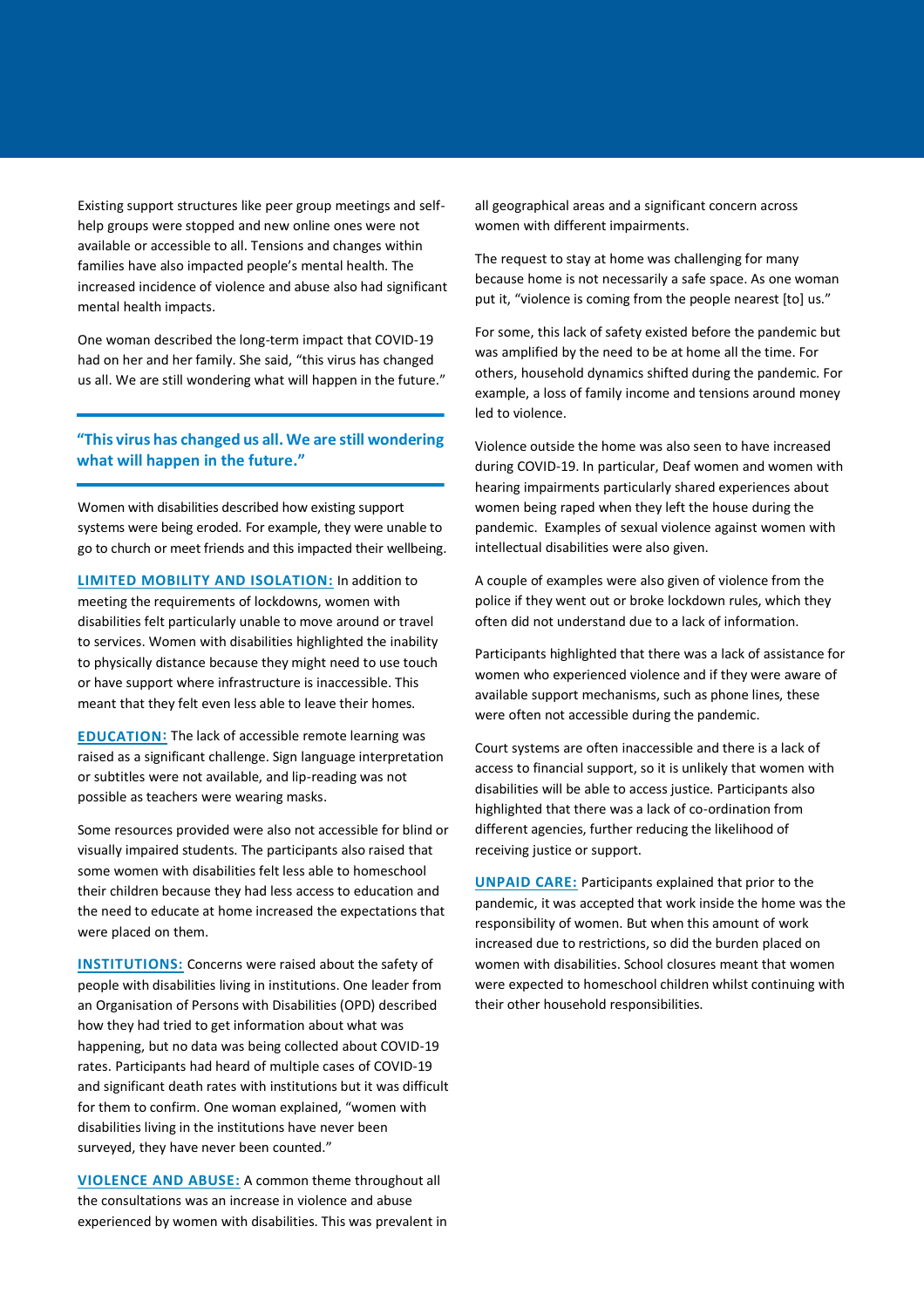Existing support structures like peer group meetings and selfhelp groups were stopped and new online ones were not available or accessible to all. Tensions and changes within families have also impacted people's mental health. The increased incidence of violence and abuse also had significant mental health impacts.

One woman described the long-term impact that COVID-19 had on her and her family. She said, "this virus has changed us all. We are still wondering what will happen in the future."

#### **"This virus has changed us all. We are still wondering what will happen in the future."**

Women with disabilities described how existing support systems were being eroded. For example, they were unable to go to church or meet friends and this impacted their wellbeing.

**LIMITED MOBILITY AND ISOLATION:** In addition to meeting the requirements of lockdowns, women with disabilities felt particularly unable to move around or travel to services. Women with disabilities highlighted the inability to physically distance because they might need to use touch or have support where infrastructure is inaccessible. This meant that they felt even less able to leave their homes.

**EDUCATION:** The lack of accessible remote learning was raised as a significant challenge. Sign language interpretation or subtitles were not available, and lip-reading was not possible as teachers were wearing masks.

Some resources provided were also not accessible for blind or visually impaired students. The participants also raised that some women with disabilities felt less able to homeschool their children because they had less access to education and the need to educate at home increased the expectations that were placed on them.

**INSTITUTIONS:** Concerns were raised about the safety of people with disabilities living in institutions. One leader from an Organisation of Persons with Disabilities (OPD) described how they had tried to get information about what was happening, but no data was being collected about COVID-19 rates. Participants had heard of multiple cases of COVID-19 and significant death rates with institutions but it was difficult for them to confirm. One woman explained, "women with disabilities living in the institutions have never been surveyed, they have never been counted."

**VIOLENCE AND ABUSE:** A common theme throughout all the consultations was an increase in violence and abuse experienced by women with disabilities. This was prevalent in all geographical areas and a significant concern across women with different impairments.

The request to stay at home was challenging for many because home is not necessarily a safe space. As one woman put it, "violence is coming from the people nearest [to] us."

For some, this lack of safety existed before the pandemic but was amplified by the need to be at home all the time. For others, household dynamics shifted during the pandemic. For example, a loss of family income and tensions around money led to violence.

Violence outside the home was also seen to have increased during COVID-19. In particular, Deaf women and women with hearing impairments particularly shared experiences about women being raped when they left the house during the pandemic. Examples of sexual violence against women with intellectual disabilities were also given.

A couple of examples were also given of violence from the police if they went out or broke lockdown rules, which they often did not understand due to a lack of information.

Participants highlighted that there was a lack of assistance for women who experienced violence and if they were aware of available support mechanisms, such as phone lines, these were often not accessible during the pandemic.

Court systems are often inaccessible and there is a lack of access to financial support, so it is unlikely that women with disabilities will be able to access justice. Participants also highlighted that there was a lack of co-ordination from different agencies, further reducing the likelihood of receiving justice or support.

**UNPAID CARE:** Participants explained that prior to the pandemic, it was accepted that work inside the home was the responsibility of women. But when this amount of work increased due to restrictions, so did the burden placed on women with disabilities. School closures meant that women were expected to homeschool children whilst continuing with their other household responsibilities.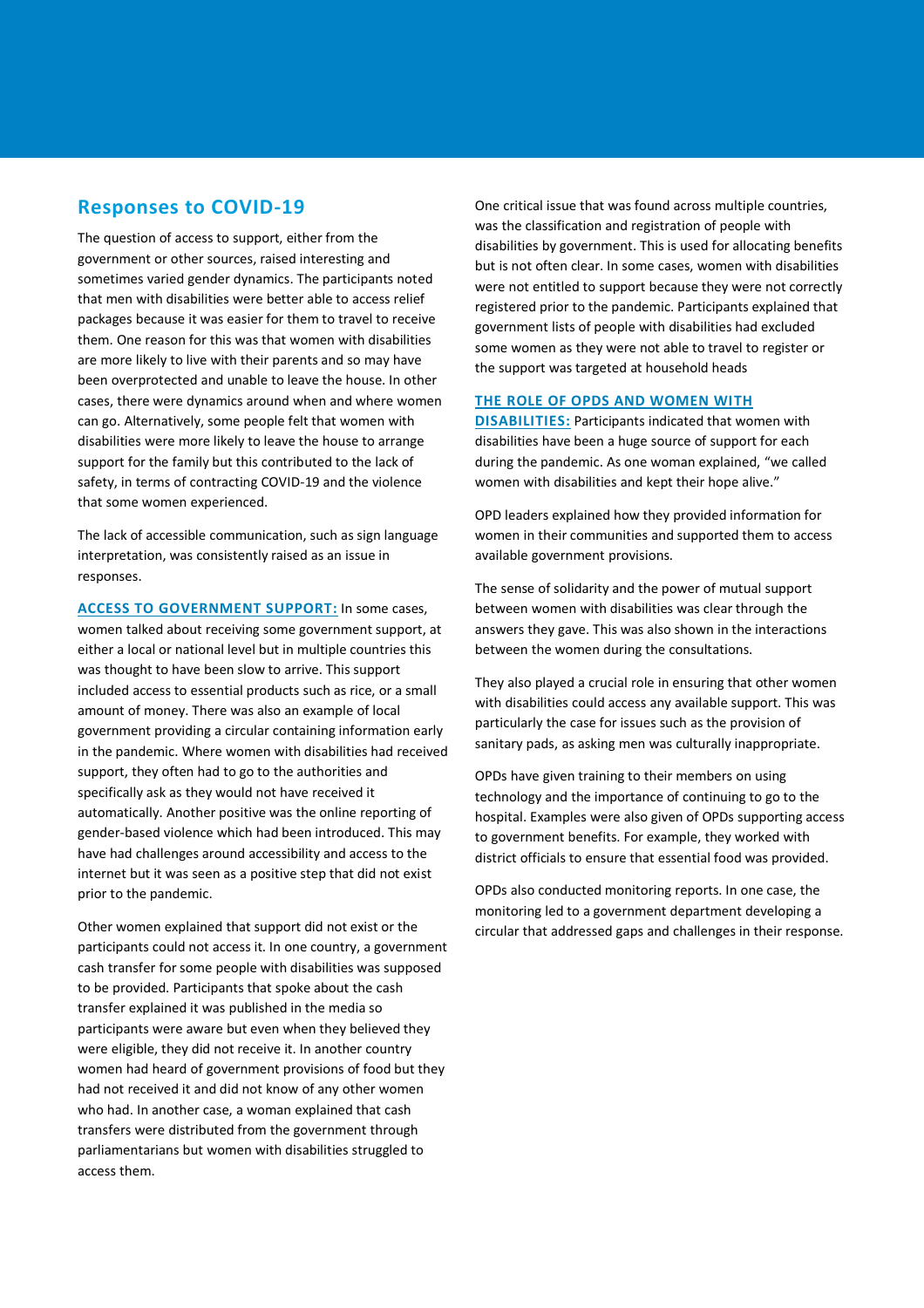#### **Responses to COVID-19**

The question of access to support, either from the government or other sources, raised interesting and sometimes varied gender dynamics. The participants noted that men with disabilities were better able to access relief packages because it was easier for them to travel to receive them. One reason for this was that women with disabilities are more likely to live with their parents and so may have been overprotected and unable to leave the house. In other cases, there were dynamics around when and where women can go. Alternatively, some people felt that women with disabilities were more likely to leave the house to arrange support for the family but this contributed to the lack of safety, in terms of contracting COVID-19 and the violence that some women experienced.

The lack of accessible communication, such as sign language interpretation, was consistently raised as an issue in responses.

**ACCESS TO GOVERNMENT SUPPORT:** In some cases, women talked about receiving some government support, at either a local or national level but in multiple countries this was thought to have been slow to arrive. This support included access to essential products such as rice, or a small amount of money. There was also an example of local government providing a circular containing information early in the pandemic. Where women with disabilities had received support, they often had to go to the authorities and specifically ask as they would not have received it automatically. Another positive was the online reporting of gender-based violence which had been introduced. This may have had challenges around accessibility and access to the internet but it was seen as a positive step that did not exist prior to the pandemic.

Other women explained that support did not exist or the participants could not access it. In one country, a government cash transfer for some people with disabilities was supposed to be provided. Participants that spoke about the cash transfer explained it was published in the media so participants were aware but even when they believed they were eligible, they did not receive it. In another country women had heard of government provisions of food but they had not received it and did not know of any other women who had. In another case, a woman explained that cash transfers were distributed from the government through parliamentarians but women with disabilities struggled to access them.

One critical issue that was found across multiple countries, was the classification and registration of people with disabilities by government. This is used for allocating benefits but is not often clear. In some cases, women with disabilities were not entitled to support because they were not correctly registered prior to the pandemic. Participants explained that government lists of people with disabilities had excluded some women as they were not able to travel to register or the support was targeted at household heads

#### **THE ROLE OF OPDS AND WOMEN WITH**

**DISABILITIES:** Participants indicated that women with disabilities have been a huge source of support for each during the pandemic. As one woman explained, "we called women with disabilities and kept their hope alive."

OPD leaders explained how they provided information for women in their communities and supported them to access available government provisions.

The sense of solidarity and the power of mutual support between women with disabilities was clear through the answers they gave. This was also shown in the interactions between the women during the consultations.

They also played a crucial role in ensuring that other women with disabilities could access any available support. This was particularly the case for issues such as the provision of sanitary pads, as asking men was culturally inappropriate.

OPDs have given training to their members on using technology and the importance of continuing to go to the hospital. Examples were also given of OPDs supporting access to government benefits. For example, they worked with district officials to ensure that essential food was provided.

OPDs also conducted monitoring reports. In one case, the monitoring led to a government department developing a circular that addressed gaps and challenges in their response.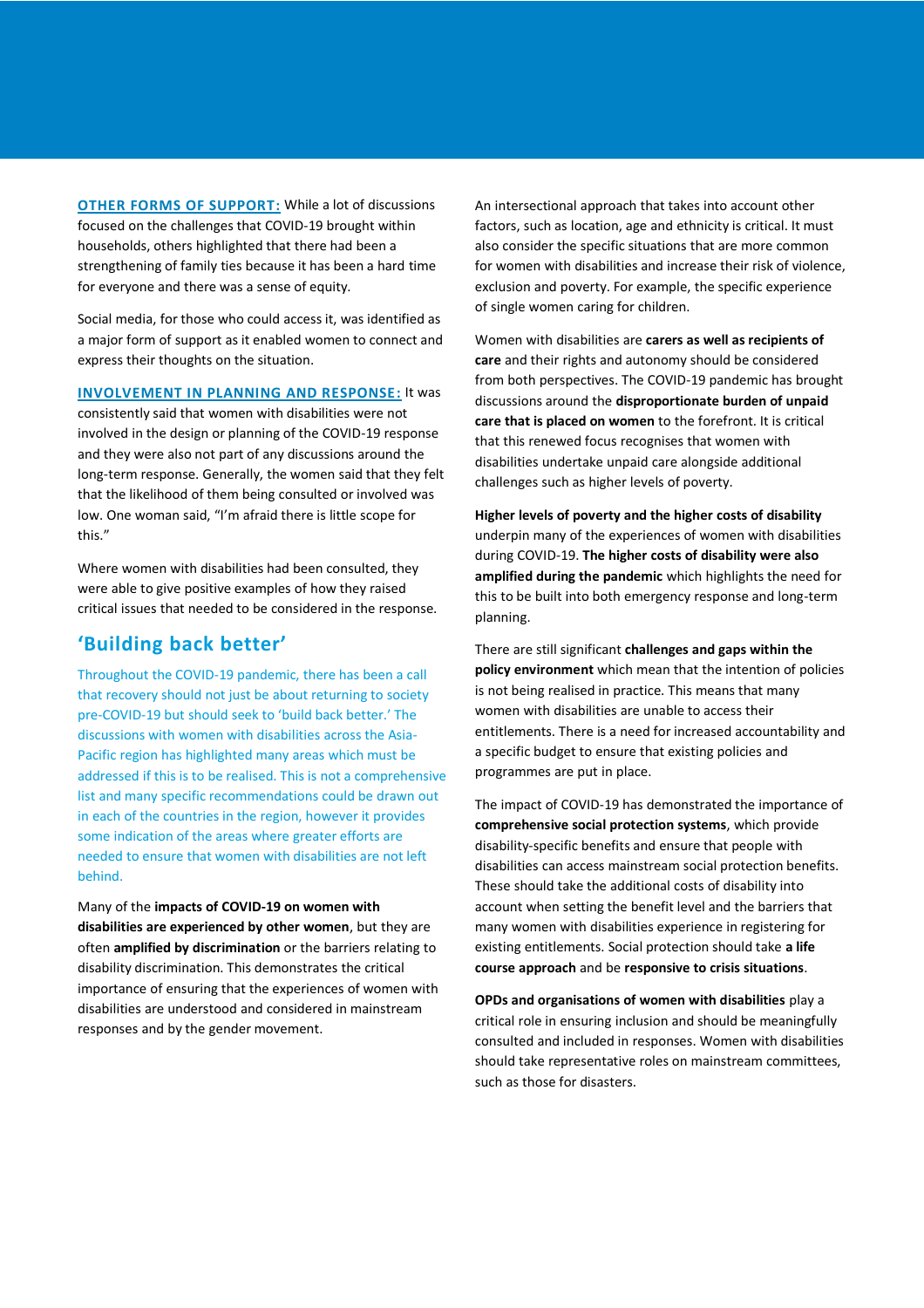**OTHER FORMS OF SUPPORT:** While a lot of discussions focused on the challenges that COVID-19 brought within households, others highlighted that there had been a strengthening of family ties because it has been a hard time for everyone and there was a sense of equity.

Social media, for those who could access it, was identified as a major form of support as it enabled women to connect and express their thoughts on the situation.

**INVOLVEMENT IN PLANNING AND RESPONSE:** It was consistently said that women with disabilities were not involved in the design or planning of the COVID-19 response and they were also not part of any discussions around the long-term response. Generally, the women said that they felt that the likelihood of them being consulted or involved was low. One woman said, "I'm afraid there is little scope for this."

Where women with disabilities had been consulted, they were able to give positive examples of how they raised critical issues that needed to be considered in the response.

#### **'Building back better'**

Throughout the COVID-19 pandemic, there has been a call that recovery should not just be about returning to society pre-COVID-19 but should seek to 'build back better.' The discussions with women with disabilities across the Asia-Pacific region has highlighted many areas which must be addressed if this is to be realised. This is not a comprehensive list and many specific recommendations could be drawn out in each of the countries in the region, however it provides some indication of the areas where greater efforts are needed to ensure that women with disabilities are not left behind.

Many of the **impacts of COVID-19 on women with disabilities are experienced by other women**, but they are often **amplified by discrimination** or the barriers relating to disability discrimination. This demonstrates the critical importance of ensuring that the experiences of women with disabilities are understood and considered in mainstream responses and by the gender movement.

An intersectional approach that takes into account other factors, such as location, age and ethnicity is critical. It must also consider the specific situations that are more common for women with disabilities and increase their risk of violence, exclusion and poverty. For example, the specific experience of single women caring for children.

Women with disabilities are **carers as well as recipients of care** and their rights and autonomy should be considered from both perspectives. The COVID-19 pandemic has brought discussions around the **disproportionate burden of unpaid care that is placed on women** to the forefront. It is critical that this renewed focus recognises that women with disabilities undertake unpaid care alongside additional challenges such as higher levels of poverty.

**Higher levels of poverty and the higher costs of disability** underpin many of the experiences of women with disabilities during COVID-19. **The higher costs of disability were also amplified during the pandemic** which highlights the need for this to be built into both emergency response and long-term planning.

There are still significant **challenges and gaps within the policy environment** which mean that the intention of policies is not being realised in practice. This means that many women with disabilities are unable to access their entitlements. There is a need for increased accountability and a specific budget to ensure that existing policies and programmes are put in place.

The impact of COVID-19 has demonstrated the importance of **comprehensive social protection systems**, which provide disability-specific benefits and ensure that people with disabilities can access mainstream social protection benefits. These should take the additional costs of disability into account when setting the benefit level and the barriers that many women with disabilities experience in registering for existing entitlements. Social protection should take **a life course approach** and be **responsive to crisis situations**.

**OPDs and organisations of women with disabilities** play a critical role in ensuring inclusion and should be meaningfully consulted and included in responses. Women with disabilities should take representative roles on mainstream committees, such as those for disasters.